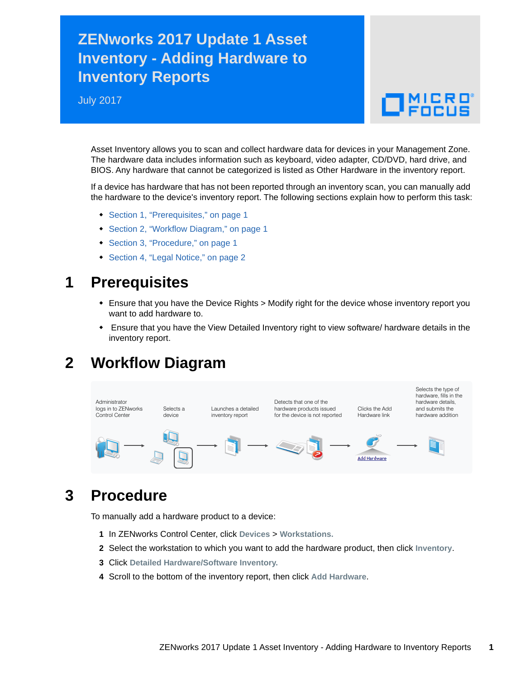## **ZENworks 2017 Update 1 Asset Inventory - Adding Hardware to Inventory Reports**

July 2017

# $\Box$ MICRO

Asset Inventory allows you to scan and collect hardware data for devices in your Management Zone. The hardware data includes information such as keyboard, video adapter, CD/DVD, hard drive, and BIOS. Any hardware that cannot be categorized is listed as Other Hardware in the inventory report.

If a device has hardware that has not been reported through an inventory scan, you can manually add the hardware to the device's inventory report. The following sections explain how to perform this task:

- [Section 1, "Prerequisites," on page 1](#page-0-0)
- [Section 2, "Workflow Diagram," on page 1](#page-0-1)
- [Section 3, "Procedure," on page 1](#page-0-2)
- [Section 4, "Legal Notice," on page 2](#page-1-0)

#### <span id="page-0-0"></span>**1 Prerequisites**

- Ensure that you have the Device Rights > Modify right for the device whose inventory report you want to add hardware to.
- Ensure that you have the View Detailed Inventory right to view software/ hardware details in the inventory report.

## <span id="page-0-1"></span>**2 Workflow Diagram**



## <span id="page-0-2"></span>**3 Procedure**

To manually add a hardware product to a device:

- **1** In ZENworks Control Center, click **Devices** > **Workstations.**
- **2** Select the workstation to which you want to add the hardware product, then click **Inventory**.
- **3** Click **Detailed Hardware/Software Inventory.**
- **4** Scroll to the bottom of the inventory report, then click **Add Hardware**.